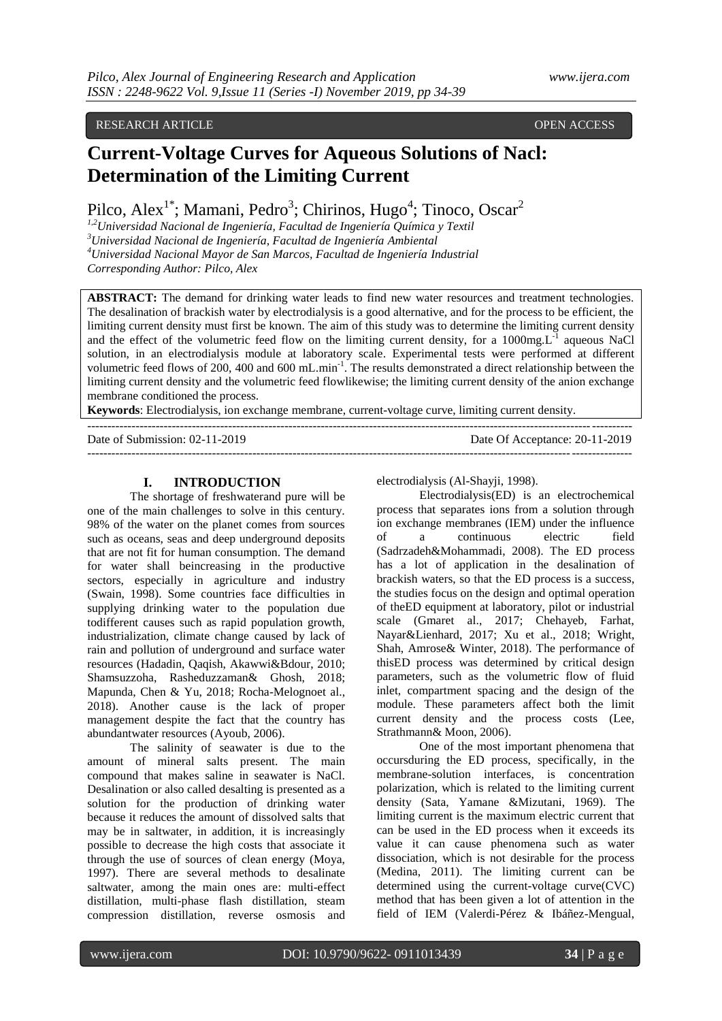## RESEARCH ARTICLE OPEN ACCESS

# **Current-Voltage Curves for Aqueous Solutions of Nacl: Determination of the Limiting Current**

Pilco, Alex<sup>1\*</sup>; Mamani, Pedro<sup>3</sup>; Chirinos, Hugo<sup>4</sup>; Tinoco, Oscar<sup>2</sup>

*1,2Universidad Nacional de Ingeniería, Facultad de Ingeniería Química y Textil <sup>3</sup>Universidad Nacional de Ingeniería, Facultad de Ingeniería Ambiental <sup>4</sup>Universidad Nacional Mayor de San Marcos, Facultad de Ingeniería Industrial Corresponding Author: Pilco, Alex*

**ABSTRACT:** The demand for drinking water leads to find new water resources and treatment technologies. The desalination of brackish water by electrodialysis is a good alternative, and for the process to be efficient, the limiting current density must first be known. The aim of this study was to determine the limiting current density and the effect of the volumetric feed flow on the limiting current density, for a  $1000mg.L<sup>-1</sup>$  aqueous NaCl solution, in an electrodialysis module at laboratory scale. Experimental tests were performed at different volumetric feed flows of 200, 400 and 600 mL.min<sup>-1</sup>. The results demonstrated a direct relationship between the limiting current density and the volumetric feed flowlikewise; the limiting current density of the anion exchange membrane conditioned the process.

**Keywords**: Electrodialysis, ion exchange membrane, current-voltage curve, limiting current density.

--------------------------------------------------------------------------------------------------------------------------------------- Date of Submission: 02-11-2019 Date Of Acceptance: 20-11-2019 ---------------------------------------------------------------------------------------------------------------------------------------

#### **I. INTRODUCTION**

The shortage of freshwaterand pure will be one of the main challenges to solve in this century. 98% of the water on the planet comes from sources such as oceans, seas and deep underground deposits that are not fit for human consumption. The demand for water shall beincreasing in the productive sectors, especially in agriculture and industry (Swain, 1998). Some countries face difficulties in supplying drinking water to the population due todifferent causes such as rapid population growth, industrialization, climate change caused by lack of rain and pollution of underground and surface water resources (Hadadin, Qaqish, Akawwi&Bdour, 2010; Shamsuzzoha, Rasheduzzaman& Ghosh, 2018; Mapunda, Chen & Yu, 2018; Rocha-Melognoet al., 2018). Another cause is the lack of proper management despite the fact that the country has abundantwater resources (Ayoub, 2006).

The salinity of seawater is due to the amount of mineral salts present. The main compound that makes saline in seawater is NaCl. Desalination or also called desalting is presented as a solution for the production of drinking water because it reduces the amount of dissolved salts that may be in saltwater, in addition, it is increasingly possible to decrease the high costs that associate it through the use of sources of clean energy (Moya, 1997). There are several methods to desalinate saltwater, among the main ones are: multi-effect distillation, multi-phase flash distillation, steam compression distillation, reverse osmosis and

electrodialysis (Al-Shayji, 1998).

Electrodialysis(ED) is an electrochemical process that separates ions from a solution through ion exchange membranes (IEM) under the influence of a continuous electric field (Sadrzadeh&Mohammadi, 2008). The ED process has a lot of application in the desalination of brackish waters, so that the ED process is a success, the studies focus on the design and optimal operation of theED equipment at laboratory, pilot or industrial scale (Gmaret al., 2017; Chehayeb, Farhat, Nayar&Lienhard, 2017; Xu et al., 2018; Wright, Shah, Amrose& Winter, 2018). The performance of thisED process was determined by critical design parameters, such as the volumetric flow of fluid inlet, compartment spacing and the design of the module. These parameters affect both the limit current density and the process costs (Lee, Strathmann& Moon, 2006).

One of the most important phenomena that occursduring the ED process, specifically, in the membrane-solution interfaces, is concentration polarization, which is related to the limiting current density (Sata, Yamane &Mizutani, 1969). The limiting current is the maximum electric current that can be used in the ED process when it exceeds its value it can cause phenomena such as water dissociation, which is not desirable for the process (Medina, 2011). The limiting current can be determined using the current-voltage curve(CVC) method that has been given a lot of attention in the field of IEM (Valerdi-Pérez & Ibáñez-Mengual,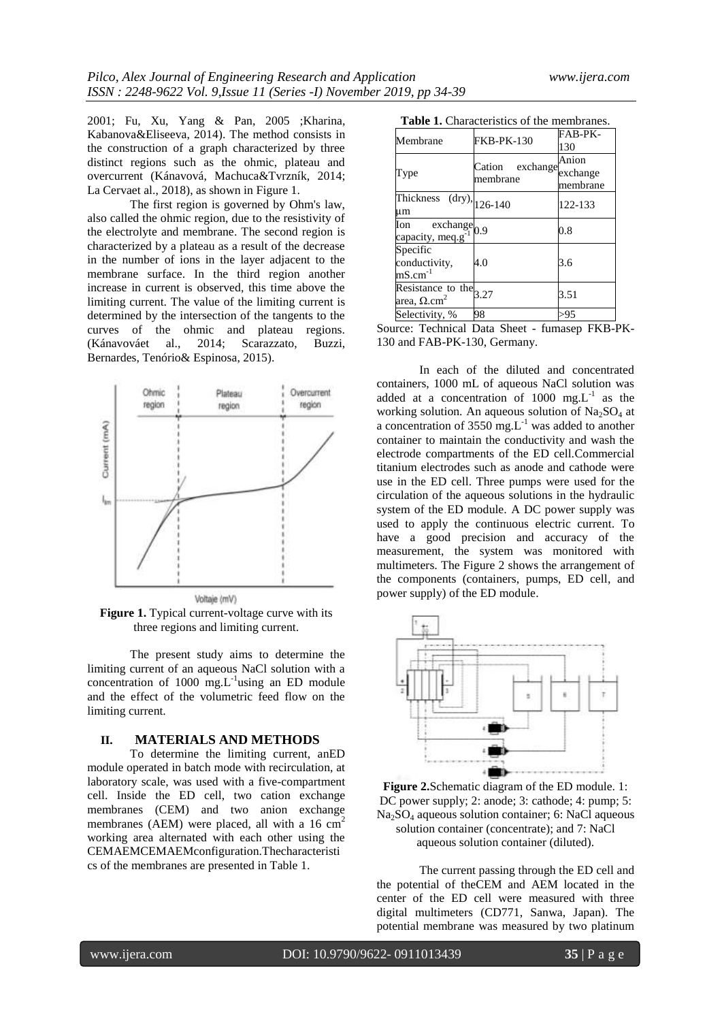2001; Fu, Xu, Yang & Pan, 2005 ;Kharina, Kabanova&Eliseeva, 2014). The method consists in the construction of a graph characterized by three distinct regions such as the ohmic, plateau and overcurrent (Kánavová, Machuca&Tvrzník, 2014; La Cervaet al., 2018), as shown in Figure 1.

The first region is governed by Ohm's law, also called the ohmic region, due to the resistivity of the electrolyte and membrane. The second region is characterized by a plateau as a result of the decrease in the number of ions in the layer adjacent to the membrane surface. In the third region another increase in current is observed, this time above the limiting current. The value of the limiting current is determined by the intersection of the tangents to the curves of the ohmic and plateau regions. (Kánavováet al., 2014; Scarazzato, Buzzi, Bernardes, Tenório& Espinosa, 2015).



**Figure 1.** Typical current-voltage curve with its three regions and limiting current.

The present study aims to determine the limiting current of an aqueous NaCl solution with a concentration of  $1000$  mg.L<sup>-1</sup>using an ED module and the effect of the volumetric feed flow on the limiting current.

#### **II. MATERIALS AND METHODS**

To determine the limiting current, anED module operated in batch mode with recirculation, at laboratory scale, was used with a five-compartment cell. Inside the ED cell, two cation exchange membranes (CEM) and two anion exchange membranes (AEM) were placed, all with a  $16 \text{ cm}^2$ working area alternated with each other using the CEMAEMCEMAEMconfiguration.Thecharacteristi cs of the membranes are presented in Table 1.

| Membrane                                                     | FKB-PK-130                     | FAB-PK-<br>130                |
|--------------------------------------------------------------|--------------------------------|-------------------------------|
| Type                                                         | exchange<br>Cation<br>membrane | Anion<br>exchange<br>membrane |
| Thickness $\text{ (dry)}$ , 126-140<br>um                    |                                | 122-133                       |
| Ion<br>$\overline{\text{exchange}}_{0.9}$<br>capacity, meq.g |                                | 0.8                           |
| Specific<br>conductivity,<br>$mS.cm^{-1}$                    | 4.0                            | 3.6                           |
| Resistance to the $3.27$<br>area, $\Omega.cm^2$              |                                | 3.51                          |
| Selectivity, %                                               | 98                             | >95                           |

Source: Technical Data Sheet - fumasep FKB-PK-130 and FAB-PK-130, Germany.

In each of the diluted and concentrated containers, 1000 mL of aqueous NaCl solution was added at a concentration of  $1000$  mg. $L^{-1}$  as the working solution. An aqueous solution of  $Na<sub>2</sub>SO<sub>4</sub>$  at a concentration of 3550 mg. $L^{-1}$  was added to another container to maintain the conductivity and wash the electrode compartments of the ED cell.Commercial titanium electrodes such as anode and cathode were use in the ED cell. Three pumps were used for the circulation of the aqueous solutions in the hydraulic system of the ED module. A DC power supply was used to apply the continuous electric current. To have a good precision and accuracy of the measurement, the system was monitored with multimeters. The Figure 2 shows the arrangement of the components (containers, pumps, ED cell, and power supply) of the ED module.



**Figure 2.**Schematic diagram of the ED module. 1: DC power supply; 2: anode; 3: cathode; 4: pump; 5: Na2SO<sup>4</sup> aqueous solution container; 6: NaCl aqueous solution container (concentrate); and 7: NaCl aqueous solution container (diluted).

The current passing through the ED cell and the potential of theCEM and AEM located in the center of the ED cell were measured with three digital multimeters (CD771, Sanwa, Japan). The potential membrane was measured by two platinum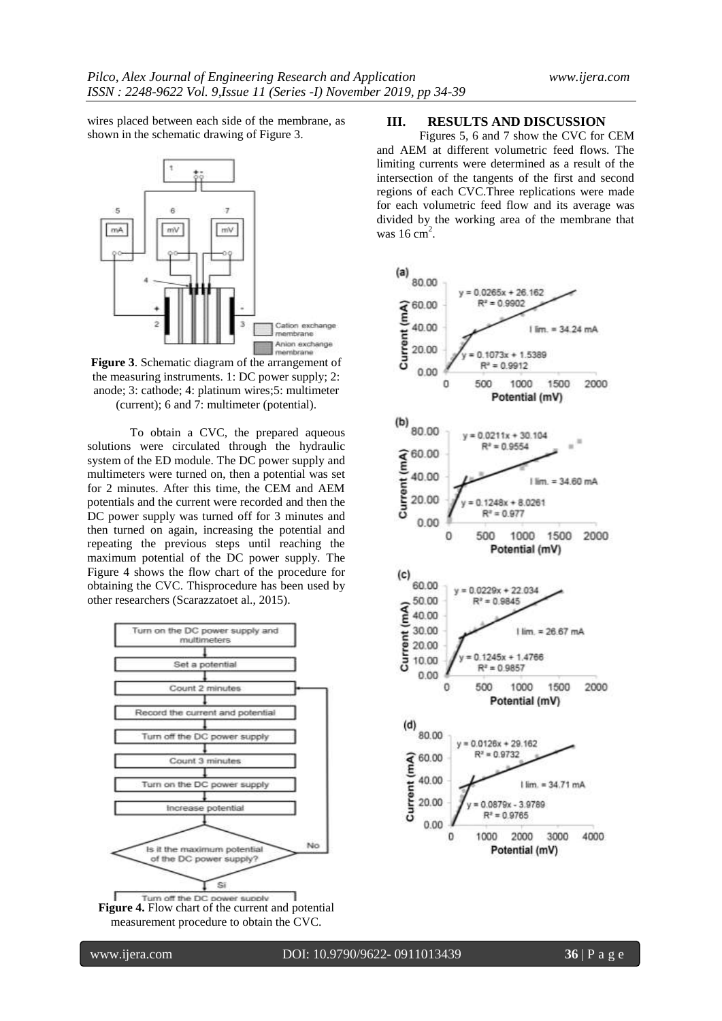wires placed between each side of the membrane, as shown in the schematic drawing of Figure 3.



**Figure 3**. Schematic diagram of the arrangement of the measuring instruments. 1: DC power supply; 2: anode; 3: cathode; 4: platinum wires;5: multimeter (current); 6 and 7: multimeter (potential).

To obtain a CVC, the prepared aqueous solutions were circulated through the hydraulic system of the ED module. The DC power supply and multimeters were turned on, then a potential was set for 2 minutes. After this time, the CEM and AEM potentials and the current were recorded and then the DC power supply was turned off for 3 minutes and then turned on again, increasing the potential and repeating the previous steps until reaching the maximum potential of the DC power supply. The Figure 4 shows the flow chart of the procedure for obtaining the CVC. Thisprocedure has been used by other researchers (Scarazzatoet al., 2015).



**Figure 4.** Flow chart of the current and potential measurement procedure to obtain the CVC.

#### **III. RESULTS AND DISCUSSION**

Figures 5, 6 and 7 show the CVC for CEM and AEM at different volumetric feed flows. The limiting currents were determined as a result of the intersection of the tangents of the first and second regions of each CVC.Three replications were made for each volumetric feed flow and its average was divided by the working area of the membrane that was  $16 \text{ cm}^2$ .

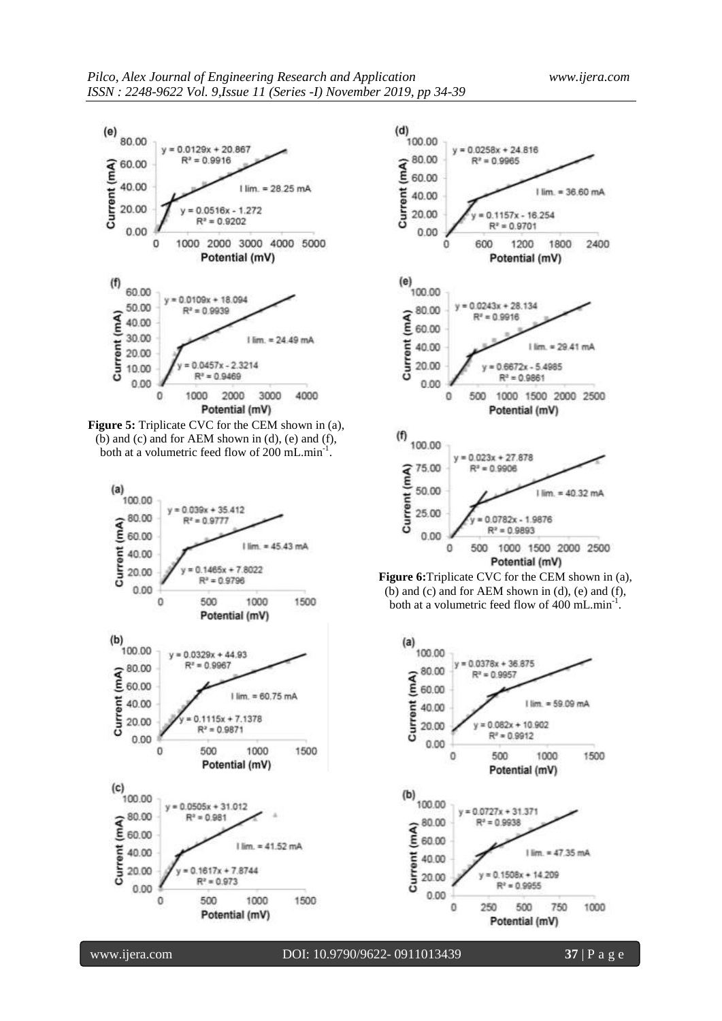

**Figure 5:** Triplicate CVC for the CEM shown in (a), (b) and (c) and for AEM shown in  $(d)$ ,  $(e)$  and  $(f)$ , both at a volumetric feed flow of 200 mL.min<sup>-1</sup>.







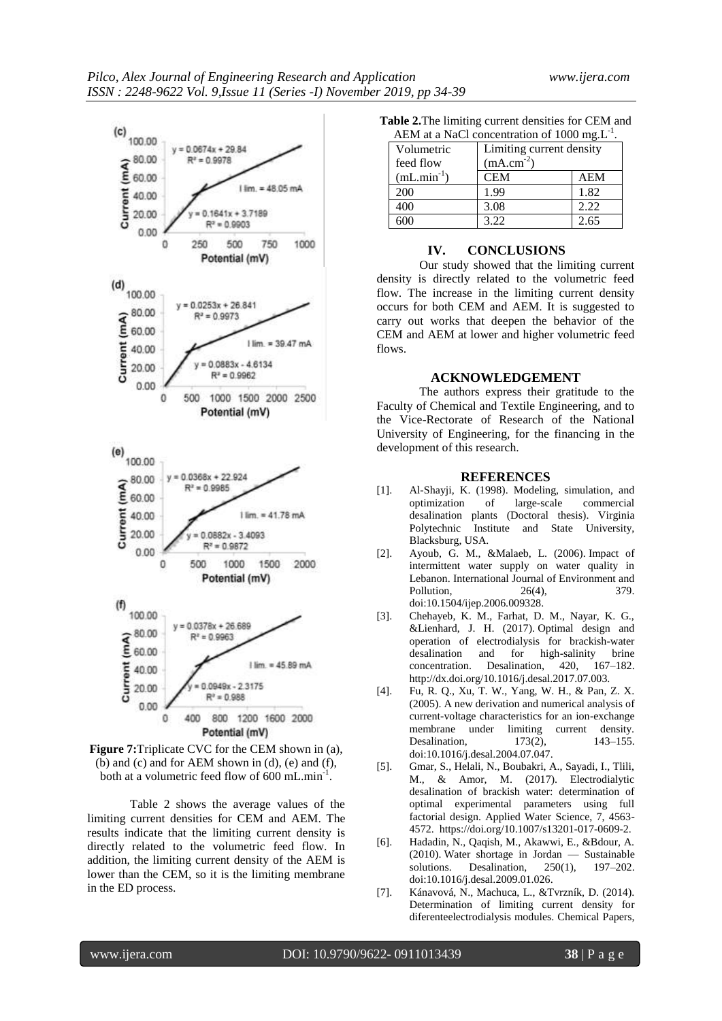



Table 2 shows the average values of the limiting current densities for CEM and AEM. The results indicate that the limiting current density is directly related to the volumetric feed flow. In addition, the limiting current density of the AEM is lower than the CEM, so it is the limiting membrane in the ED process.

**Table 2.**The limiting current densities for CEM and AEM at a NaCl concentration of 1000 mg. $L^{-1}$ 

| AEM at a NaCl concentration of 1000 mg. $L^{-1}$ . |                |                          |  |
|----------------------------------------------------|----------------|--------------------------|--|
| Volumetric                                         |                | Limiting current density |  |
| feed flow                                          | $(mA.cm^{-2})$ |                          |  |
| $(mL.min-1)$                                       | <b>CEM</b>     | <b>AEM</b>               |  |
| 200                                                | 1.99           | 1.82                     |  |
| 400                                                | 3.08           | 2.22                     |  |
| 600                                                | 3.22           | 2.65                     |  |

#### **IV. CONCLUSIONS**

Our study showed that the limiting current density is directly related to the volumetric feed flow. The increase in the limiting current density occurs for both CEM and AEM. It is suggested to carry out works that deepen the behavior of the CEM and AEM at lower and higher volumetric feed flows.

#### **ACKNOWLEDGEMENT**

The authors express their gratitude to the Faculty of Chemical and Textile Engineering, and to the Vice-Rectorate of Research of the National University of Engineering, for the financing in the development of this research.

### **REFERENCES**

- [1]. Al-Shayji, K. (1998). Modeling, simulation, and optimization of large-scale commercial desalination plants (Doctoral thesis). Virginia Polytechnic Institute and State University, Blacksburg, USA.
- [2]. Ayoub, G. M., &Malaeb, L. (2006). Impact of intermittent water supply on water quality in Lebanon. International Journal of Environment and Pollution, 26(4), 379. doi:10.1504/ijep.2006.009328.
- [3]. Chehayeb, K. M., Farhat, D. M., Nayar, K. G., &Lienhard, J. H. (2017). Optimal design and operation of electrodialysis for brackish-water desalination and for high-salinity brine concentration. Desalination, 420, 167–182. http://dx.doi.org/10.1016/j.desal.2017.07.003.
- [4]. Fu, R. Q., Xu, T. W., Yang, W. H., & Pan, Z. X. (2005). A new derivation and numerical analysis of current-voltage characteristics for an ion-exchange membrane under limiting current density. Desalination, 173(2), 143-155. doi:10.1016/j.desal.2004.07.047.
- [5]. Gmar, S., Helali, N., Boubakri, A., Sayadi, I., Tlili, M., & Amor, M. (2017). Electrodialytic desalination of brackish water: determination of optimal experimental parameters using full factorial design. Applied Water Science, 7, 4563- 4572. [https://doi.org/10.1007/s13201-017-0609-2.](https://doi.org/10.1007/s13201-017-0609-2)
- [6]. Hadadin, N., Qaqish, M., Akawwi, E., &Bdour, A. (2010). Water shortage in Jordan — Sustainable solutions. Desalination, 250(1), 197–202. doi:10.1016/j.desal.2009.01.026.
- [7]. Kánavová, N., Machuca, L., &Tvrzník, D. (2014). Determination of limiting current density for diferenteelectrodialysis modules. Chemical Papers,